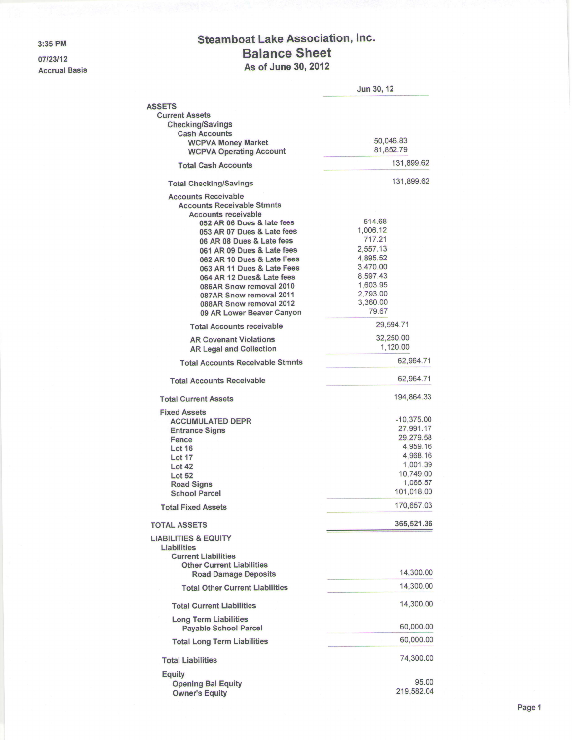3:35 PM

07/23/12 Accrual Basis

## Steamboat Lake Association, Inc. Balance Sheet As of June 30,2012

|                                                                                                                                                                                                                                                                                                                                                                                                                                                                 | Jun 30, 12                                                                                                                             |
|-----------------------------------------------------------------------------------------------------------------------------------------------------------------------------------------------------------------------------------------------------------------------------------------------------------------------------------------------------------------------------------------------------------------------------------------------------------------|----------------------------------------------------------------------------------------------------------------------------------------|
| <b>ASSETS</b>                                                                                                                                                                                                                                                                                                                                                                                                                                                   |                                                                                                                                        |
| <b>Current Assets</b>                                                                                                                                                                                                                                                                                                                                                                                                                                           |                                                                                                                                        |
| <b>Checking/Savings</b><br><b>Cash Accounts</b>                                                                                                                                                                                                                                                                                                                                                                                                                 |                                                                                                                                        |
| <b>WCPVA Money Market</b>                                                                                                                                                                                                                                                                                                                                                                                                                                       | 50,046.83                                                                                                                              |
| <b>WCPVA Operating Account</b>                                                                                                                                                                                                                                                                                                                                                                                                                                  | 81,852.79                                                                                                                              |
| <b>Total Cash Accounts</b>                                                                                                                                                                                                                                                                                                                                                                                                                                      | 131,899.62                                                                                                                             |
| <b>Total Checking/Savings</b>                                                                                                                                                                                                                                                                                                                                                                                                                                   | 131,899.62                                                                                                                             |
| <b>Accounts Receivable</b><br><b>Accounts Receivable Stmnts</b><br><b>Accounts receivable</b><br>052 AR 06 Dues & late fees<br>053 AR 07 Dues & Late fees<br>06 AR 08 Dues & Late fees<br>061 AR 09 Dues & Late fees<br>062 AR 10 Dues & Late Fees<br>063 AR 11 Dues & Late Fees<br>064 AR 12 Dues& Late fees<br>086AR Snow removal 2010<br>087AR Snow removal 2011<br>088AR Snow removal 2012<br>09 AR Lower Beaver Canyon<br><b>Total Accounts receivable</b> | 514.68<br>1,006.12<br>717.21<br>2,557.13<br>4,895.52<br>3,470.00<br>8,597.43<br>1,603.95<br>2,793.00<br>3,360.00<br>79.67<br>29,594.71 |
| <b>AR Covenant Violations</b>                                                                                                                                                                                                                                                                                                                                                                                                                                   | 32,250.00                                                                                                                              |
| <b>AR Legal and Collection</b>                                                                                                                                                                                                                                                                                                                                                                                                                                  | 1,120.00                                                                                                                               |
| <b>Total Accounts Receivable Stmnts</b>                                                                                                                                                                                                                                                                                                                                                                                                                         | 62,964.71                                                                                                                              |
| <b>Total Accounts Receivable</b>                                                                                                                                                                                                                                                                                                                                                                                                                                | 62,964.71                                                                                                                              |
| <b>Total Current Assets</b>                                                                                                                                                                                                                                                                                                                                                                                                                                     | 194,864.33                                                                                                                             |
| <b>Fixed Assets</b>                                                                                                                                                                                                                                                                                                                                                                                                                                             | $-10,375.00$                                                                                                                           |
| <b>ACCUMULATED DEPR</b>                                                                                                                                                                                                                                                                                                                                                                                                                                         | 27,991.17                                                                                                                              |
| <b>Entrance Signs</b><br><b>Fence</b>                                                                                                                                                                                                                                                                                                                                                                                                                           | 29,279.58                                                                                                                              |
| <b>Lot 16</b>                                                                                                                                                                                                                                                                                                                                                                                                                                                   | 4,959.16                                                                                                                               |
|                                                                                                                                                                                                                                                                                                                                                                                                                                                                 | 4,968.16                                                                                                                               |
| <b>Lot 17</b>                                                                                                                                                                                                                                                                                                                                                                                                                                                   | 1,001.39                                                                                                                               |
| Lot 42                                                                                                                                                                                                                                                                                                                                                                                                                                                          | 10,749.00                                                                                                                              |
| <b>Lot 52</b><br><b>Road Signs</b>                                                                                                                                                                                                                                                                                                                                                                                                                              | 1,065.57                                                                                                                               |
| <b>School Parcel</b>                                                                                                                                                                                                                                                                                                                                                                                                                                            | 101,018.00                                                                                                                             |
| <b>Total Fixed Assets</b>                                                                                                                                                                                                                                                                                                                                                                                                                                       | 170,657.03                                                                                                                             |
|                                                                                                                                                                                                                                                                                                                                                                                                                                                                 |                                                                                                                                        |
| <b>TOTAL ASSETS</b>                                                                                                                                                                                                                                                                                                                                                                                                                                             | 365,521.36                                                                                                                             |
| <b>LIABILITIES &amp; EQUITY</b><br>Liabilities<br><b>Current Liabilities</b>                                                                                                                                                                                                                                                                                                                                                                                    |                                                                                                                                        |
| <b>Other Current Liabilities</b><br><b>Road Damage Deposits</b>                                                                                                                                                                                                                                                                                                                                                                                                 | 14,300.00                                                                                                                              |
| <b>Total Other Current Liabilities</b>                                                                                                                                                                                                                                                                                                                                                                                                                          | 14,300.00                                                                                                                              |
| <b>Total Current Liabilities</b>                                                                                                                                                                                                                                                                                                                                                                                                                                | 14,300.00                                                                                                                              |
| <b>Long Term Liabilities</b><br><b>Payable School Parcel</b>                                                                                                                                                                                                                                                                                                                                                                                                    | 60,000.00                                                                                                                              |
| <b>Total Long Term Liabilities</b>                                                                                                                                                                                                                                                                                                                                                                                                                              | 60,000.00                                                                                                                              |
| <b>Total Liabilities</b>                                                                                                                                                                                                                                                                                                                                                                                                                                        | 74,300.00                                                                                                                              |
| <b>Equity</b>                                                                                                                                                                                                                                                                                                                                                                                                                                                   |                                                                                                                                        |
| <b>Opening Bal Equity</b><br><b>Owner's Equity</b>                                                                                                                                                                                                                                                                                                                                                                                                              | 95.00<br>219,582.04                                                                                                                    |
|                                                                                                                                                                                                                                                                                                                                                                                                                                                                 |                                                                                                                                        |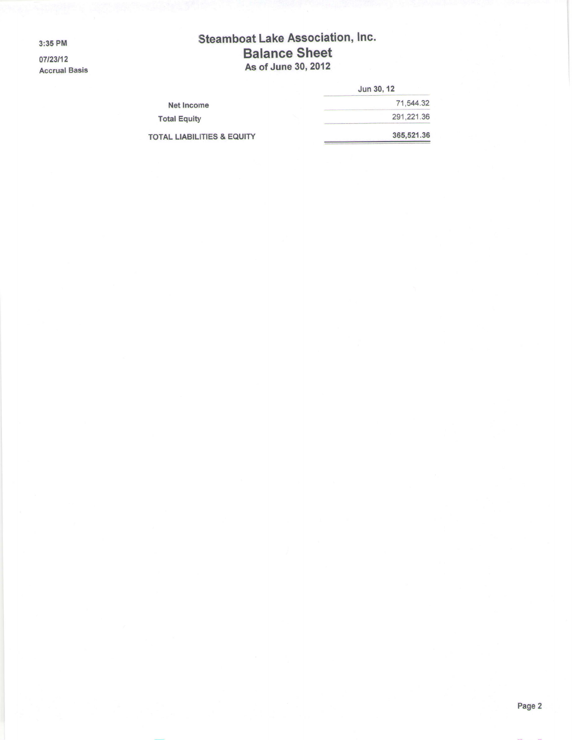3:35 PM

07/23/12 Accrual Basis

## Steamboat Lake Association, lnc. Balance Sheet As of June 30,2012

|                                       | Jun 30, 12 |
|---------------------------------------|------------|
| <b>Net Income</b>                     | 71,544.32  |
| <b>Total Equity</b>                   | 291.221.36 |
| <b>TOTAL LIABILITIES &amp; EQUITY</b> | 365,521.36 |
|                                       |            |